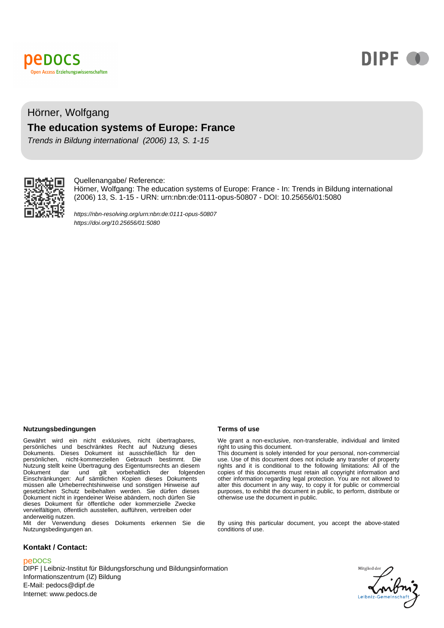



# Hörner, Wolfgang **The education systems of Europe: France**

Trends in Bildung international (2006) 13, S. 1-15



#### Quellenangabe/ Reference:

Hörner, Wolfgang: The education systems of Europe: France - In: Trends in Bildung international (2006) 13, S. 1-15 - URN: urn:nbn:de:0111-opus-50807 - DOI: 10.25656/01:5080

<https://nbn-resolving.org/urn:nbn:de:0111-opus-50807> <https://doi.org/10.25656/01:5080>

#### **Nutzungsbedingungen Terms of use**

Gewährt wird ein nicht exklusives, nicht übertragbares, persönliches und beschränktes Recht auf Nutzung dieses Dokuments. Dieses Dokument ist ausschließlich für den persönlichen, nicht-kommerziellen Gebrauch bestimmt. Die Nutzung stellt keine Übertragung des Eigentumsrechts an diesem Dokument dar und gilt vorbehaltlich der folgenden Einschränkungen: Auf sämtlichen Kopien dieses Dokuments müssen alle Urheberrechtshinweise und sonstigen Hinweise auf gesetzlichen Schutz beibehalten werden. Sie dürfen dieses Dokument nicht in irgendeiner Weise abändern, noch dürfen Sie dieses Dokument für öffentliche oder kommerzielle Zwecke vervielfältigen, öffentlich ausstellen, aufführen, vertreiben oder anderweitig nutzen.

Mit der Verwendung dieses Dokuments erkennen Sie die Nutzungsbedingungen an.

#### **Kontakt / Contact:**

#### peDOCS

DIPF | Leibniz-Institut für Bildungsforschung und Bildungsinformation Informationszentrum (IZ) Bildung E-Mail: pedocs@dipf.de Internet: www.pedocs.de

We grant a non-exclusive, non-transferable, individual and limited right to using this document.

This document is solely intended for your personal, non-commercial use. Use of this document does not include any transfer of property rights and it is conditional to the following limitations: All of the copies of this documents must retain all copyright information and other information regarding legal protection. You are not allowed to alter this document in any way, to copy it for public or commercial purposes, to exhibit the document in public, to perform, distribute or otherwise use the document in public.

By using this particular document, you accept the above-stated conditions of use.

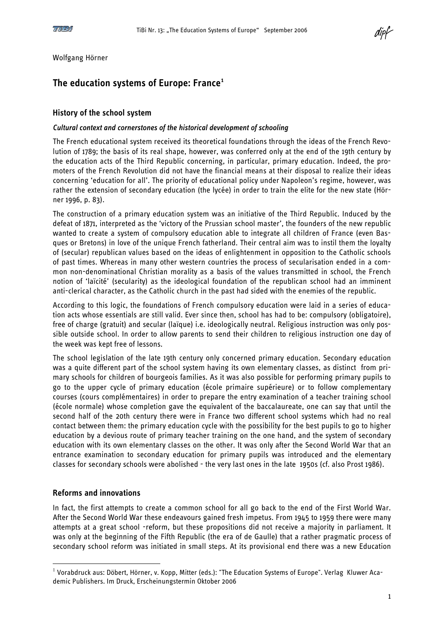

Wolfgang Hörner

# **The education systems of Europe: France[1](#page-1-0)**

#### **History of the school system**

#### *Cultural context and cornerstones of the historical development of schooling*

The French educational system received its theoretical foundations through the ideas of the French Revolution of 1789; the basis of its real shape, however, was conferred only at the end of the 19th century by the education acts of the Third Republic concerning, in particular, primary education. Indeed, the promoters of the French Revolution did not have the financial means at their disposal to realize their ideas concerning 'education for all'. The priority of educational policy under Napoleon's regime, however, was rather the extension of secondary education (the lycée) in order to train the elite for the new state (Hörner 1996, p. 83).

The construction of a primary education system was an initiative of the Third Republic. Induced by the defeat of 1871, interpreted as the 'victory of the Prussian school master', the founders of the new republic wanted to create a system of compulsory education able to integrate all children of France (even Basques or Bretons) in love of the unique French fatherland. Their central aim was to instil them the loyalty of (secular) republican values based on the ideas of enlightenment in opposition to the Catholic schools of past times. Whereas in many other western countries the process of secularisation ended in a common non-denominational Christian morality as a basis of the values transmitted in school, the French notion of 'laïcité' (secularity) as the ideological foundation of the republican school had an imminent anti-clerical character, as the Catholic church in the past had sided with the enemies of the republic.

According to this logic, the foundations of French compulsory education were laid in a series of education acts whose essentials are still valid. Ever since then, school has had to be: compulsory (obligatoire), free of charge (gratuit) and secular (laïque) i.e. ideologically neutral. Religious instruction was only possible outside school. In order to allow parents to send their children to religious instruction one day of the week was kept free of lessons.

The school legislation of the late 19th century only concerned primary education. Secondary education was a quite different part of the school system having its own elementary classes, as distinct from primary schools for children of bourgeois families. As it was also possible for performing primary pupils to go to the upper cycle of primary education (école primaire supérieure) or to follow complementary courses (cours complémentaires) in order to prepare the entry examination of a teacher training school (école normale) whose completion gave the equivalent of the baccalaureate, one can say that until the second half of the 20th century there were in France two different school systems which had no real contact between them: the primary education cycle with the possibility for the best pupils to go to higher education by a devious route of primary teacher training on the one hand, and the system of secondary education with its own elementary classes on the other. It was only after the Second World War that an entrance examination to secondary education for primary pupils was introduced and the elementary classes for secondary schools were abolished - the very last ones in the late 1950s (cf. also Prost 1986).

#### **Reforms and innovations**

<u>.</u>

In fact, the first attempts to create a common school for all go back to the end of the First World War. After the Second World War these endeavours gained fresh impetus. From 1945 to 1959 there were many attempts at a great school -reform, but these propositions did not receive a majority in parliament. It was only at the beginning of the Fifth Republic (the era of de Gaulle) that a rather pragmatic process of secondary school reform was initiated in small steps. At its provisional end there was a new Education

<span id="page-1-0"></span><sup>&</sup>lt;sup>1</sup> Vorabdruck aus: Döbert, Hörner, v. Kopp, Mitter (eds.): "The Education Systems of Europe". Verlag Kluwer Academic Publishers. Im Druck, Erscheinungstermin Oktober 2006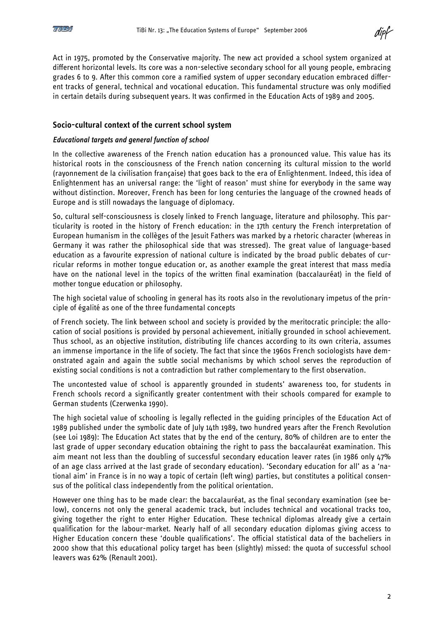

Act in 1975, promoted by the Conservative majority. The new act provided a school system organized at different horizontal levels. Its core was a non-selective secondary school for all young people, embracing grades 6 to 9. After this common core a ramified system of upper secondary education embraced different tracks of general, technical and vocational education. This fundamental structure was only modified in certain details during subsequent years. It was confirmed in the Education Acts of 1989 and 2005.

## **Socio-cultural context of the current school system**

#### *Educational targets and general function of school*

In the collective awareness of the French nation education has a pronounced value. This value has its historical roots in the consciousness of the French nation concerning its cultural mission to the world (rayonnement de la civilisation française) that goes back to the era of Enlightenment. Indeed, this idea of Enlightenment has an universal range: the 'light of reason' must shine for everybody in the same way without distinction. Moreover, French has been for long centuries the language of the crowned heads of Europe and is still nowadays the language of diplomacy.

So, cultural self-consciousness is closely linked to French language, literature and philosophy. This particularity is rooted in the history of French education: in the 17th century the French interpretation of European humanism in the collèges of the Jesuit Fathers was marked by a rhetoric character (whereas in Germany it was rather the philosophical side that was stressed). The great value of language-based education as a favourite expression of national culture is indicated by the broad public debates of curricular reforms in mother tongue education or, as another example the great interest that mass media have on the national level in the topics of the written final examination (baccalauréat) in the field of mother tongue education or philosophy.

The high societal value of schooling in general has its roots also in the revolutionary impetus of the principle of égalité as one of the three fundamental concepts

of French society. The link between school and society is provided by the meritocratic principle: the allocation of social positions is provided by personal achievement, initially grounded in school achievement. Thus school, as an objective institution, distributing life chances according to its own criteria, assumes an immense importance in the life of society. The fact that since the 1960s French sociologists have demonstrated again and again the subtle social mechanisms by which school serves the reproduction of existing social conditions is not a contradiction but rather complementary to the first observation.

The uncontested value of school is apparently grounded in students' awareness too, for students in French schools record a significantly greater contentment with their schools compared for example to German students (Czerwenka 1990).

The high societal value of schooling is legally reflected in the guiding principles of the Education Act of 1989 published under the symbolic date of July 14th 1989, two hundred years after the French Revolution (see Loi 1989): The Education Act states that by the end of the century, 80% of children are to enter the last grade of upper secondary education obtaining the right to pass the baccalauréat examination. This aim meant not less than the doubling of successful secondary education leaver rates (in 1986 only 47% of an age class arrived at the last grade of secondary education). 'Secondary education for all' as a 'national aim' in France is in no way a topic of certain (left wing) parties, but constitutes a political consensus of the political class independently from the political orientation.

However one thing has to be made clear: the baccalauréat, as the final secondary examination (see below), concerns not only the general academic track, but includes technical and vocational tracks too, giving together the right to enter Higher Education. These technical diplomas already give a certain qualification for the labour-market. Nearly half of all secondary education diplomas giving access to Higher Education concern these 'double qualifications'. The official statistical data of the bacheliers in 2000 show that this educational policy target has been (slightly) missed: the quota of successful school leavers was 62% (Renault 2001).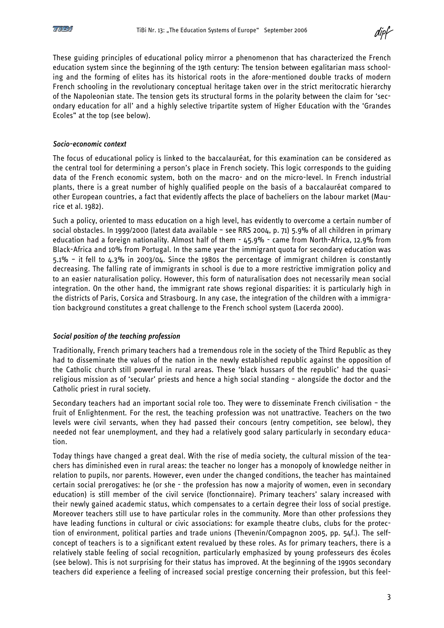

These guiding principles of educational policy mirror a phenomenon that has characterized the French education system since the beginning of the 19th century: The tension between egalitarian mass schooling and the forming of elites has its historical roots in the afore-mentioned double tracks of modern French schooling in the revolutionary conceptual heritage taken over in the strict meritocratic hierarchy of the Napoleonian state. The tension gets its structural forms in the polarity between the claim for 'secondary education for all' and a highly selective tripartite system of Higher Education with the 'Grandes Ecoles" at the top (see below).

#### *Socio-economic context*

The focus of educational policy is linked to the baccalauréat, for this examination can be considered as the central tool for determining a person's place in French society. This logic corresponds to the guiding data of the French economic system, both on the macro- and on the micro-level. In French industrial plants, there is a great number of highly qualified people on the basis of a baccalauréat compared to other European countries, a fact that evidently affects the place of bacheliers on the labour market (Maurice et al. 1982).

Such a policy, oriented to mass education on a high level, has evidently to overcome a certain number of social obstacles. In 1999/2000 (latest data available – see RRS 2004, p. 71) 5.9% of all children in primary education had a foreign nationality. Almost half of them - 45.9% - came from North-Africa, 12.9% from Black-Africa and 10% from Portugal. In the same year the immigrant quota for secondary education was 5.1% – it fell to 4.3% in 2003/04. Since the 1980s the percentage of immigrant children is constantly decreasing. The falling rate of immigrants in school is due to a more restrictive immigration policy and to an easier naturalisation policy. However, this form of naturalisation does not necessarily mean social integration. On the other hand, the immigrant rate shows regional disparities: it is particularly high in the districts of Paris, Corsica and Strasbourg. In any case, the integration of the children with a immigration background constitutes a great challenge to the French school system (Lacerda 2000).

#### *Social position of the teaching profession*

Traditionally, French primary teachers had a tremendous role in the society of the Third Republic as they had to disseminate the values of the nation in the newly established republic against the opposition of the Catholic church still powerful in rural areas. These 'black hussars of the republic' had the quasireligious mission as of 'secular' priests and hence a high social standing – alongside the doctor and the Catholic priest in rural society.

Secondary teachers had an important social role too. They were to disseminate French civilisation – the fruit of Enlightenment. For the rest, the teaching profession was not unattractive. Teachers on the two levels were civil servants, when they had passed their concours (entry competition, see below), they needed not fear unemployment, and they had a relatively good salary particularly in secondary education.

Today things have changed a great deal. With the rise of media society, the cultural mission of the teachers has diminished even in rural areas: the teacher no longer has a monopoly of knowledge neither in relation to pupils, nor parents. However, even under the changed conditions, the teacher has maintained certain social prerogatives: he (or she - the profession has now a majority of women, even in secondary education) is still member of the civil service (fonctionnaire). Primary teachers' salary increased with their newly gained academic status, which compensates to a certain degree their loss of social prestige. Moreover teachers still use to have particular roles in the community. More than other professions they have leading functions in cultural or civic associations: for example theatre clubs, clubs for the protection of environment, political parties and trade unions (Thevenin/Compagnon 2005, pp. 54f.). The selfconcept of teachers is to a significant extent revalued by these roles. As for primary teachers, there is a relatively stable feeling of social recognition, particularly emphasized by young professeurs des écoles (see below). This is not surprising for their status has improved. At the beginning of the 1990s secondary teachers did experience a feeling of increased social prestige concerning their profession, but this feel-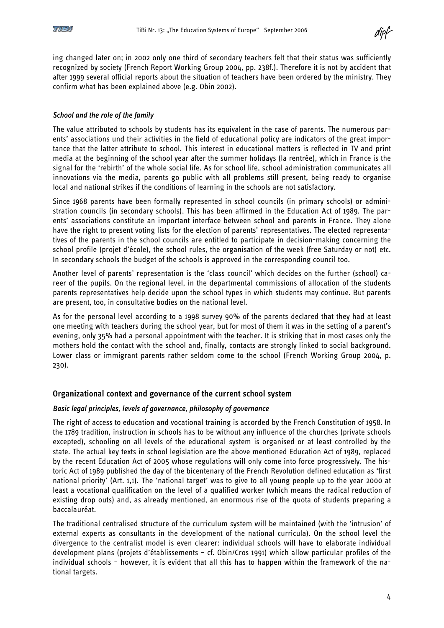

ing changed later on; in 2002 only one third of secondary teachers felt that their status was sufficiently recognized by society (French Report Working Group 2004, pp. 238f.). Therefore it is not by accident that after 1999 several official reports about the situation of teachers have been ordered by the ministry. They confirm what has been explained above (e.g. Obin 2002).

#### *School and the role of the family*

The value attributed to schools by students has its equivalent in the case of parents. The numerous parents' associations und their activities in the field of educational policy are indicators of the great importance that the latter attribute to school. This interest in educational matters is reflected in TV and print media at the beginning of the school year after the summer holidays (la rentrée), which in France is the signal for the 'rebirth' of the whole social life. As for school life, school administration communicates all innovations via the media, parents go public with all problems still present, being ready to organise local and national strikes if the conditions of learning in the schools are not satisfactory.

Since 1968 parents have been formally represented in school councils (in primary schools) or administration councils (in secondary schools). This has been affirmed in the Education Act of 1989. The parents' associations constitute an important interface between school and parents in France. They alone have the right to present voting lists for the election of parents' representatives. The elected representatives of the parents in the school councils are entitled to participate in decision-making concerning the school profile (projet d'école), the school rules, the organisation of the week (free Saturday or not) etc. In secondary schools the budget of the schools is approved in the corresponding council too.

Another level of parents' representation is the 'class council' which decides on the further (school) career of the pupils. On the regional level, in the departmental commissions of allocation of the students parents representatives help decide upon the school types in which students may continue. But parents are present, too, in consultative bodies on the national level.

As for the personal level according to a 1998 survey 90% of the parents declared that they had at least one meeting with teachers during the school year, but for most of them it was in the setting of a parent's evening, only 35% had a personal appointment with the teacher. It is striking that in most cases only the mothers hold the contact with the school and, finally, contacts are strongly linked to social background. Lower class or immigrant parents rather seldom come to the school (French Working Group 2004, p. 230).

## **Organizational context and governance of the current school system**

#### *Basic legal principles, levels of governance, philosophy of governance*

The right of access to education and vocational training is accorded by the French Constitution of 1958. In the 1789 tradition, instruction in schools has to be without any influence of the churches (private schools excepted), schooling on all levels of the educational system is organised or at least controlled by the state. The actual key texts in school legislation are the above mentioned Education Act of 1989, replaced by the recent Education Act of 2005 whose regulations will only come into force progressively. The historic Act of 1989 published the day of the bicentenary of the French Revolution defined education as 'first national priority' (Art. 1,1). The 'national target' was to give to all young people up to the year 2000 at least a vocational qualification on the level of a qualified worker (which means the radical reduction of existing drop outs) and, as already mentioned, an enormous rise of the quota of students preparing a baccalauréat.

The traditional centralised structure of the curriculum system will be maintained (with the 'intrusion' of external experts as consultants in the development of the national curricula). On the school level the divergence to the centralist model is even clearer: individual schools will have to elaborate individual development plans (projets d'établissements – cf. Obin/Cros 1991) which allow particular profiles of the individual schools – however, it is evident that all this has to happen within the framework of the national targets.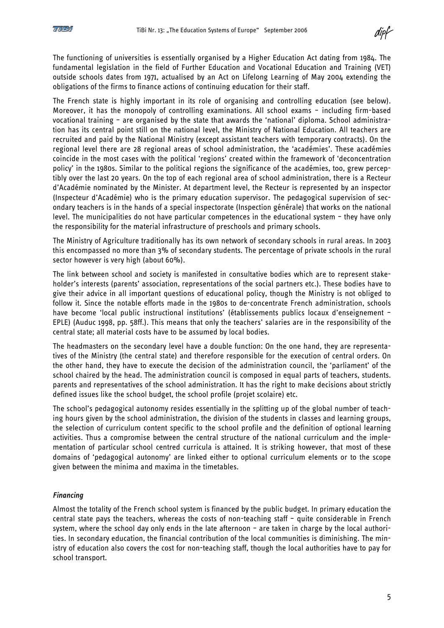

The functioning of universities is essentially organised by a Higher Education Act dating from 1984. The fundamental legislation in the field of Further Education and Vocational Education and Training (VET) outside schools dates from 1971, actualised by an Act on Lifelong Learning of May 2004 extending the obligations of the firms to finance actions of continuing education for their staff.

The French state is highly important in its role of organising and controlling education (see below). Moreover, it has the monopoly of controlling examinations. All school exams – including firm-based vocational training – are organised by the state that awards the 'national' diploma. School administration has its central point still on the national level, the Ministry of National Education. All teachers are recruited and paid by the National Ministry (except assistant teachers with temporary contracts). On the regional level there are 28 regional areas of school administration, the 'académies'. These académies coincide in the most cases with the political 'regions' created within the framework of 'deconcentration policy' in the 1980s. Similar to the political regions the significance of the académies, too, grew perceptibly over the last 20 years. On the top of each regional area of school administration, there is a Recteur d'Académie nominated by the Minister. At department level, the Recteur is represented by an inspector (Inspecteur d'Académie) who is the primary education supervisor. The pedagogical supervision of secondary teachers is in the hands of a special inspectorate (Inspection générale) that works on the national level. The municipalities do not have particular competences in the educational system – they have only the responsibility for the material infrastructure of preschools and primary schools.

The Ministry of Agriculture traditionally has its own network of secondary schools in rural areas. In 2003 this encompassed no more than 3% of secondary students. The percentage of private schools in the rural sector however is very high (about 60%).

The link between school and society is manifested in consultative bodies which are to represent stakeholder's interests (parents' association, representations of the social partners etc.). These bodies have to give their advice in all important questions of educational policy, though the Ministry is not obliged to follow it. Since the notable efforts made in the 1980s to de-concentrate French administration, schools have become 'local public instructional institutions' (établissements publics locaux d'enseignement -EPLE) (Auduc 1998, pp. 58ff.). This means that only the teachers' salaries are in the responsibility of the central state; all material costs have to be assumed by local bodies.

The headmasters on the secondary level have a double function: On the one hand, they are representatives of the Ministry (the central state) and therefore responsible for the execution of central orders. On the other hand, they have to execute the decision of the administration council, the 'parliament' of the school chaired by the head. The administration council is composed in equal parts of teachers, students. parents and representatives of the school administration. It has the right to make decisions about strictly defined issues like the school budget, the school profile (projet scolaire) etc.

The school's pedagogical autonomy resides essentially in the splitting up of the global number of teaching hours given by the school administration, the division of the students in classes and learning groups, the selection of curriculum content specific to the school profile and the definition of optional learning activities. Thus a compromise between the central structure of the national curriculum and the implementation of particular school centred curricula is attained. It is striking however, that most of these domains of 'pedagogical autonomy' are linked either to optional curriculum elements or to the scope given between the minima and maxima in the timetables.

#### *Financing*

Almost the totality of the French school system is financed by the public budget. In primary education the central state pays the teachers, whereas the costs of non-teaching staff – quite considerable in French system, where the school day only ends in the late afternoon – are taken in charge by the local authorities. In secondary education, the financial contribution of the local communities is diminishing. The ministry of education also covers the cost for non-teaching staff, though the local authorities have to pay for school transport.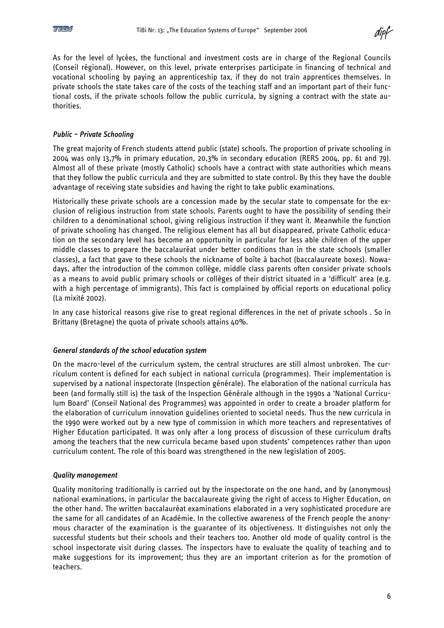

As for the level of lycées, the functional and investment costs are in charge of the Regional Councils (Conseil régional). However, on this level, private enterprises participate in financing of technical and vocational schooling by paying an apprenticeship tax, if they do not train apprentices themselves. In private schools the state takes care of the costs of the teaching staff and an important part of their functional costs, if the private schools follow the public curricula, by signing a contract with the state authorities.

#### *Public – Private Schooling*

The great majority of French students attend public (state) schools. The proportion of private schooling in 2004 was only 13,7% in primary education, 20,3% in secondary education (RERS 2004, pp. 61 and 79). Almost all of these private (mostly Catholic) schools have a contract with state authorities which means that they follow the public curricula and they are submitted to state control. By this they have the double advantage of receiving state subsidies and having the right to take public examinations.

Historically these private schools are a concession made by the secular state to compensate for the exclusion of religious instruction from state schools. Parents ought to have the possibility of sending their children to a denominational school, giving religious instruction if they want it. Meanwhile the function of private schooling has changed. The religious element has all but disappeared, private Catholic education on the secondary level has become an opportunity in particular for less able children of the upper middle classes to prepare the baccalauréat under better conditions than in the state schools (smaller classes), a fact that gave to these schools the nickname of boîte à bachot (baccalaureate boxes). Nowadays, after the introduction of the common collège, middle class parents often consider private schools as a means to avoid public primary schools or collèges of their district situated in a 'difficult' area (e.g. with a high percentage of immigrants). This fact is complained by official reports on educational policy (La mixité 2002).

In any case historical reasons give rise to great regional differences in the net of private schools . So in Brittany (Bretagne) the quota of private schools attains 40%.

#### *General standards of the school education system*

On the macro-level of the curriculum system, the central structures are still almost unbroken. The curriculum content is defined for each subject in national curricula (programmes). Their implementation is supervised by a national inspectorate (Inspection générale). The elaboration of the national curricula has been (and formally still is) the task of the Inspection Générale although in the 1990s a 'National Curriculum Board' (Conseil National des Programmes) was appointed in order to create a broader platform for the elaboration of curriculum innovation guidelines oriented to societal needs. Thus the new curricula in the 1990 were worked out by a new type of commission in which more teachers and representatives of Higher Education participated. It was only after a long process of discussion of these curriculum drafts among the teachers that the new curricula became based upon students' competences rather than upon curriculum content. The role of this board was strengthened in the new legislation of 2005.

#### *Quality management*

Quality monitoring traditionally is carried out by the inspectorate on the one hand, and by (anonymous) national examinations, in particular the baccalaureate giving the right of access to Higher Education, on the other hand. The written baccalauréat examinations elaborated in a very sophisticated procedure are the same for all candidates of an Académie. In the collective awareness of the French people the anonymous character of the examination is the guarantee of its objectiveness. It distinguishes not only the successful students but their schools and their teachers too. Another old mode of quality control is the school inspectorate visit during classes. The inspectors have to evaluate the quality of teaching and to make suggestions for its improvement; thus they are an important criterion as for the promotion of teachers.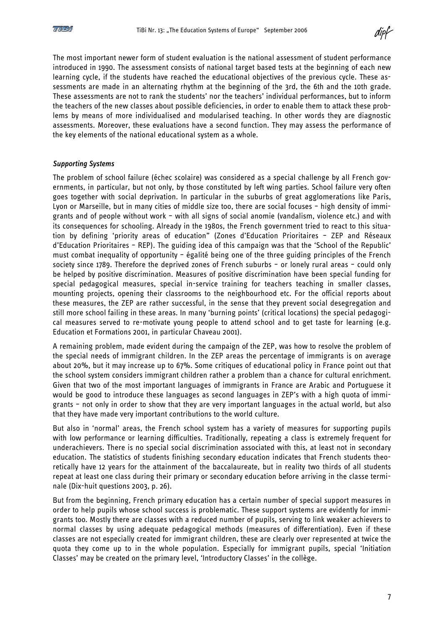

The most important newer form of student evaluation is the national assessment of student performance introduced in 1990. The assessment consists of national target based tests at the beginning of each new learning cycle, if the students have reached the educational objectives of the previous cycle. These assessments are made in an alternating rhythm at the beginning of the 3rd, the 6th and the 10th grade. These assessments are not to rank the students' nor the teachers' individual performances, but to inform the teachers of the new classes about possible deficiencies, in order to enable them to attack these problems by means of more individualised and modularised teaching. In other words they are diagnostic assessments. Moreover, these evaluations have a second function. They may assess the performance of the key elements of the national educational system as a whole.

#### *Supporting Systems*

The problem of school failure (échec scolaire) was considered as a special challenge by all French governments, in particular, but not only, by those constituted by left wing parties. School failure very often goes together with social deprivation. In particular in the suburbs of great agglomerations like Paris, Lyon or Marseille, but in many cities of middle size too, there are social focuses – high density of immigrants and of people without work – with all signs of social anomie (vandalism, violence etc.) and with its consequences for schooling. Already in the 1980s, the French government tried to react to this situation by defining 'priority areas of education" (Zones d'Education Prioritaires – ZEP and Réseaux d'Education Prioritaires – REP). The guiding idea of this campaign was that the 'School of the Republic' must combat inequality of opportunity – égalité being one of the three guiding principles of the French society since 1789. Therefore the deprived zones of French suburbs - or lonely rural areas - could only be helped by positive discrimination. Measures of positive discrimination have been special funding for special pedagogical measures, special in-service training for teachers teaching in smaller classes, mounting projects, opening their classrooms to the neighbourhood etc. For the official reports about these measures, the ZEP are rather successful, in the sense that they prevent social desegregation and still more school failing in these areas. In many 'burning points' (critical locations) the special pedagogical measures served to re-motivate young people to attend school and to get taste for learning (e.g. Education et Formations 2001, in particular Chaveau 2001).

A remaining problem, made evident during the campaign of the ZEP, was how to resolve the problem of the special needs of immigrant children. In the ZEP areas the percentage of immigrants is on average about 20%, but it may increase up to 67%. Some critiques of educational policy in France point out that the school system considers immigrant children rather a problem than a chance for cultural enrichment. Given that two of the most important languages of immigrants in France are Arabic and Portuguese it would be good to introduce these languages as second languages in ZEP's with a high quota of immigrants – not only in order to show that they are very important languages in the actual world, but also that they have made very important contributions to the world culture.

But also in 'normal' areas, the French school system has a variety of measures for supporting pupils with low performance or learning difficulties. Traditionally, repeating a class is extremely frequent for underachievers. There is no special social discrimination associated with this, at least not in secondary education. The statistics of students finishing secondary education indicates that French students theoretically have 12 years for the attainment of the baccalaureate, but in reality two thirds of all students repeat at least one class during their primary or secondary education before arriving in the classe terminale (Dix-huit questions 2003, p. 26).

But from the beginning, French primary education has a certain number of special support measures in order to help pupils whose school success is problematic. These support systems are evidently for immigrants too. Mostly there are classes with a reduced number of pupils, serving to link weaker achievers to normal classes by using adequate pedagogical methods (measures of differentiation). Even if these classes are not especially created for immigrant children, these are clearly over represented at twice the quota they come up to in the whole population. Especially for immigrant pupils, special 'Initiation Classes' may be created on the primary level, 'Introductory Classes' in the collège.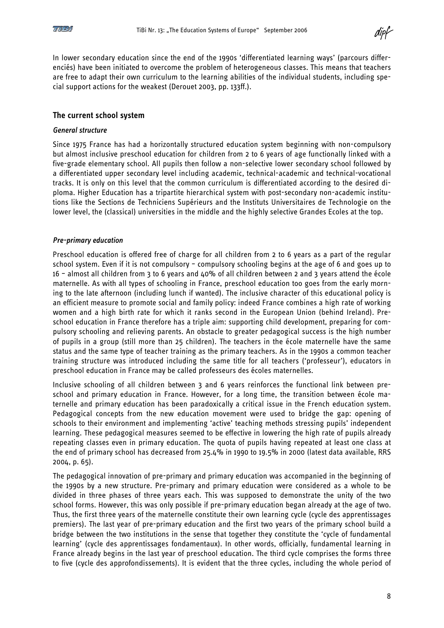

In lower secondary education since the end of the 1990s 'differentiated learning ways' (parcours differenciés) have been initiated to overcome the problem of heterogeneous classes. This means that teachers are free to adapt their own curriculum to the learning abilities of the individual students, including special support actions for the weakest (Derouet 2003, pp. 133ff.).

#### **The current school system**

#### *General structure*

Since 1975 France has had a horizontally structured education system beginning with non-compulsory but almost inclusive preschool education for children from 2 to 6 years of age functionally linked with a five-grade elementary school. All pupils then follow a non-selective lower secondary school followed by a differentiated upper secondary level including academic, technical-academic and technical-vocational tracks. It is only on this level that the common curriculum is differentiated according to the desired diploma. Higher Education has a tripartite hierarchical system with post-secondary non-academic institutions like the Sections de Techniciens Supérieurs and the Instituts Universitaires de Technologie on the lower level, the (classical) universities in the middle and the highly selective Grandes Ecoles at the top.

#### *Pre-primary education*

Preschool education is offered free of charge for all children from 2 to 6 years as a part of the regular school system. Even if it is not compulsory – compulsory schooling begins at the age of 6 and goes up to 16 – almost all children from 3 to 6 years and 40% of all children between 2 and 3 years attend the école maternelle. As with all types of schooling in France, preschool education too goes from the early morning to the late afternoon (including lunch if wanted). The inclusive character of this educational policy is an efficient measure to promote social and family policy: indeed France combines a high rate of working women and a high birth rate for which it ranks second in the European Union (behind Ireland). Preschool education in France therefore has a triple aim: supporting child development, preparing for compulsory schooling and relieving parents. An obstacle to greater pedagogical success is the high number of pupils in a group (still more than 25 children). The teachers in the école maternelle have the same status and the same type of teacher training as the primary teachers. As in the 1990s a common teacher training structure was introduced including the same title for all teachers ('professeur'), educators in preschool education in France may be called professeurs des écoles maternelles.

Inclusive schooling of all children between 3 and 6 years reinforces the functional link between preschool and primary education in France. However, for a long time, the transition between école maternelle and primary education has been paradoxically a critical issue in the French education system. Pedagogical concepts from the new education movement were used to bridge the gap: opening of schools to their environment and implementing 'active' teaching methods stressing pupils' independent learning. These pedagogical measures seemed to be effective in lowering the high rate of pupils already repeating classes even in primary education. The quota of pupils having repeated at least one class at the end of primary school has decreased from 25.4% in 1990 to 19.5% in 2000 (latest data available, RRS 2004, p. 65).

The pedagogical innovation of pre-primary and primary education was accompanied in the beginning of the 1990s by a new structure. Pre-primary and primary education were considered as a whole to be divided in three phases of three years each. This was supposed to demonstrate the unity of the two school forms. However, this was only possible if pre-primary education began already at the age of two. Thus, the first three years of the maternelle constitute their own learning cycle (cycle des apprentissages premiers). The last year of pre-primary education and the first two years of the primary school build a bridge between the two institutions in the sense that together they constitute the 'cycle of fundamental learning' (cycle des apprentissages fondamentaux). In other words, officially, fundamental learning in France already begins in the last year of preschool education. The third cycle comprises the forms three to five (cycle des approfondissements). It is evident that the three cycles, including the whole period of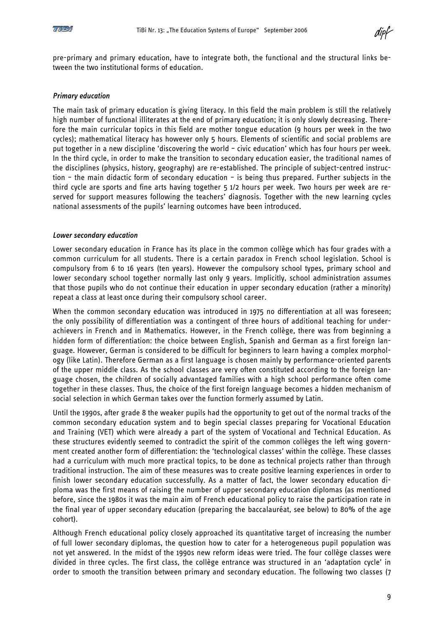

pre-primary and primary education, have to integrate both, the functional and the structural links between the two institutional forms of education.

#### *Primary education*

The main task of primary education is giving literacy. In this field the main problem is still the relatively high number of functional illiterates at the end of primary education; it is only slowly decreasing. Therefore the main curricular topics in this field are mother tongue education (9 hours per week in the two cycles); mathematical literacy has however only 5 hours. Elements of scientific and social problems are put together in a new discipline 'discovering the world – civic education' which has four hours per week. In the third cycle, in order to make the transition to secondary education easier, the traditional names of the disciplines (physics, history, geography) are re-established. The principle of subject-centred instruction – the main didactic form of secondary education – is being thus prepared. Further subjects in the third cycle are sports and fine arts having together 5 1/2 hours per week. Two hours per week are reserved for support measures following the teachers' diagnosis. Together with the new learning cycles national assessments of the pupils' learning outcomes have been introduced.

#### *Lower secondary education*

Lower secondary education in France has its place in the common collège which has four grades with a common curriculum for all students. There is a certain paradox in French school legislation. School is compulsory from 6 to 16 years (ten years). However the compulsory school types, primary school and lower secondary school together normally last only 9 years. Implicitly, school administration assumes that those pupils who do not continue their education in upper secondary education (rather a minority) repeat a class at least once during their compulsory school career.

When the common secondary education was introduced in 1975 no differentiation at all was foreseen; the only possibility of differentiation was a contingent of three hours of additional teaching for underachievers in French and in Mathematics. However, in the French collège, there was from beginning a hidden form of differentiation: the choice between English, Spanish and German as a first foreign language. However, German is considered to be difficult for beginners to learn having a complex morphology (like Latin). Therefore German as a first language is chosen mainly by performance-oriented parents of the upper middle class. As the school classes are very often constituted according to the foreign language chosen, the children of socially advantaged families with a high school performance often come together in these classes. Thus, the choice of the first foreign language becomes a hidden mechanism of social selection in which German takes over the function formerly assumed by Latin.

Until the 1990s, after grade 8 the weaker pupils had the opportunity to get out of the normal tracks of the common secondary education system and to begin special classes preparing for Vocational Education and Training (VET) which were already a part of the system of Vocational and Technical Education. As these structures evidently seemed to contradict the spirit of the common collèges the left wing government created another form of differentiation: the 'technological classes' within the collège. These classes had a curriculum with much more practical topics, to be done as technical projects rather than through traditional instruction. The aim of these measures was to create positive learning experiences in order to finish lower secondary education successfully. As a matter of fact, the lower secondary education diploma was the first means of raising the number of upper secondary education diplomas (as mentioned before, since the 1980s it was the main aim of French educational policy to raise the participation rate in the final year of upper secondary education (preparing the baccalauréat, see below) to 80% of the age cohort).

Although French educational policy closely approached its quantitative target of increasing the number of full lower secondary diplomas, the question how to cater for a heterogeneous pupil population was not yet answered. In the midst of the 1990s new reform ideas were tried. The four collège classes were divided in three cycles. The first class, the collège entrance was structured in an 'adaptation cycle' in order to smooth the transition between primary and secondary education. The following two classes (7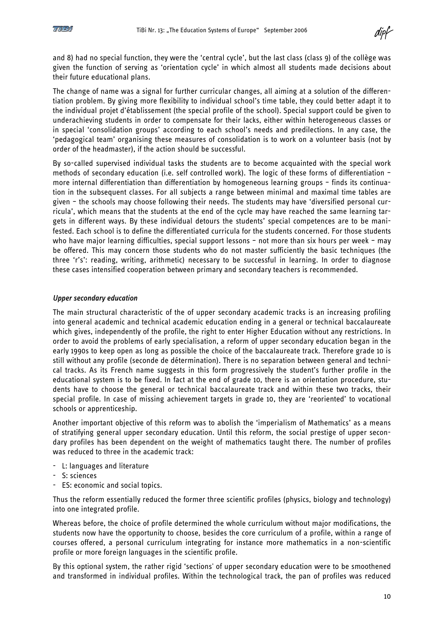

and 8) had no special function, they were the 'central cycle', but the last class (class 9) of the collège was given the function of serving as 'orientation cycle' in which almost all students made decisions about their future educational plans.

The change of name was a signal for further curricular changes, all aiming at a solution of the differentiation problem. By giving more flexibility to individual school's time table, they could better adapt it to the individual projet d'établissement (the special profile of the school). Special support could be given to underachieving students in order to compensate for their lacks, either within heterogeneous classes or in special 'consolidation groups' according to each school's needs and predilections. In any case, the 'pedagogical team' organising these measures of consolidation is to work on a volunteer basis (not by order of the headmaster), if the action should be successful.

By so-called supervised individual tasks the students are to become acquainted with the special work methods of secondary education (i.e. self controlled work). The logic of these forms of differentiation – more internal differentiation than differentiation by homogeneous learning groups – finds its continuation in the subsequent classes. For all subjects a range between minimal and maximal time tables are given – the schools may choose following their needs. The students may have 'diversified personal curricula', which means that the students at the end of the cycle may have reached the same learning targets in different ways. By these individual detours the students' special competences are to be manifested. Each school is to define the differentiated curricula for the students concerned. For those students who have major learning difficulties, special support lessons - not more than six hours per week - may be offered. This may concern those students who do not master sufficiently the basic techniques (the three 'r's': reading, writing, arithmetic) necessary to be successful in learning. In order to diagnose these cases intensified cooperation between primary and secondary teachers is recommended.

#### *Upper secondary education*

The main structural characteristic of the of upper secondary academic tracks is an increasing profiling into general academic and technical academic education ending in a general or technical baccalaureate which gives, independently of the profile, the right to enter Higher Education without any restrictions. In order to avoid the problems of early specialisation, a reform of upper secondary education began in the early 1990s to keep open as long as possible the choice of the baccalaureate track. Therefore grade 10 is still without any profile (seconde de détermination). There is no separation between general and technical tracks. As its French name suggests in this form progressively the student's further profile in the educational system is to be fixed. In fact at the end of grade 10, there is an orientation procedure, students have to choose the general or technical baccalaureate track and within these two tracks, their special profile. In case of missing achievement targets in grade 10, they are 'reoriented' to vocational schools or apprenticeship.

Another important objective of this reform was to abolish the 'imperialism of Mathematics' as a means of stratifying general upper secondary education. Until this reform, the social prestige of upper secondary profiles has been dependent on the weight of mathematics taught there. The number of profiles was reduced to three in the academic track:

- L: languages and literature
- S: sciences
- ES: economic and social topics.

Thus the reform essentially reduced the former three scientific profiles (physics, biology and technology) into one integrated profile.

Whereas before, the choice of profile determined the whole curriculum without major modifications, the students now have the opportunity to choose, besides the core curriculum of a profile, within a range of courses offered, a personal curriculum integrating for instance more mathematics in a non-scientific profile or more foreign languages in the scientific profile.

By this optional system, the rather rigid 'sections' of upper secondary education were to be smoothened and transformed in individual profiles. Within the technological track, the pan of profiles was reduced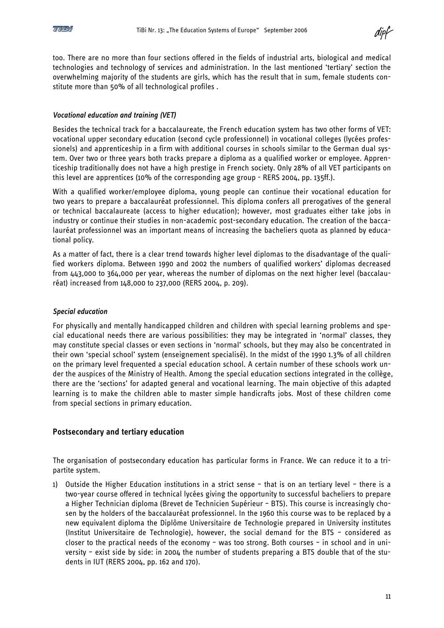

too. There are no more than four sections offered in the fields of industrial arts, biological and medical technologies and technology of services and administration. In the last mentioned 'tertiary' section the overwhelming majority of the students are girls, which has the result that in sum, female students constitute more than 50% of all technological profiles .

#### *Vocational education and training (VET)*

Besides the technical track for a baccalaureate, the French education system has two other forms of VET: vocational upper secondary education (second cycle professionnel) in vocational colleges (lycées professionels) and apprenticeship in a firm with additional courses in schools similar to the German dual system. Over two or three years both tracks prepare a diploma as a qualified worker or employee. Apprenticeship traditionally does not have a high prestige in French society. Only 28% of all VET participants on this level are apprentices (10% of the corresponding age group - RERS 2004, pp. 135ff.).

With a qualified worker/employee diploma, young people can continue their vocational education for two years to prepare a baccalauréat professionnel. This diploma confers all prerogatives of the general or technical baccalaureate (access to higher education); however, most graduates either take jobs in industry or continue their studies in non-academic post-secondary education. The creation of the baccalauréat professionnel was an important means of increasing the bacheliers quota as planned by educational policy.

As a matter of fact, there is a clear trend towards higher level diplomas to the disadvantage of the qualified workers diploma. Between 1990 and 2002 the numbers of qualified workers' diplomas decreased from 443,000 to 364,000 per year, whereas the number of diplomas on the next higher level (baccalauréat) increased from 148,000 to 237,000 (RERS 2004, p. 209).

#### *Special education*

For physically and mentally handicapped children and children with special learning problems and special educational needs there are various possibilities: they may be integrated in 'normal' classes, they may constitute special classes or even sections in 'normal' schools, but they may also be concentrated in their own 'special school' system (enseignement specialisé). In the midst of the 1990 1.3% of all children on the primary level frequented a special education school. A certain number of these schools work under the auspices of the Ministry of Health. Among the special education sections integrated in the collège, there are the 'sections' for adapted general and vocational learning. The main objective of this adapted learning is to make the children able to master simple handicrafts jobs. Most of these children come from special sections in primary education.

#### **Postsecondary and tertiary education**

The organisation of postsecondary education has particular forms in France. We can reduce it to a tripartite system.

1) Outside the Higher Education institutions in a strict sense – that is on an tertiary level – there is a two-year course offered in technical lycées giving the opportunity to successful bacheliers to prepare a Higher Technician diploma (Brevet de Technicien Supérieur – BTS). This course is increasingly chosen by the holders of the baccalauréat professionnel. In the 1960 this course was to be replaced by a new equivalent diploma the Diplôme Universitaire de Technologie prepared in University institutes (Institut Universitaire de Technologie), however, the social demand for the BTS – considered as closer to the practical needs of the economy – was too strong. Both courses – in school and in university – exist side by side: in 2004 the number of students preparing a BTS double that of the students in IUT (RERS 2004, pp. 162 and 170).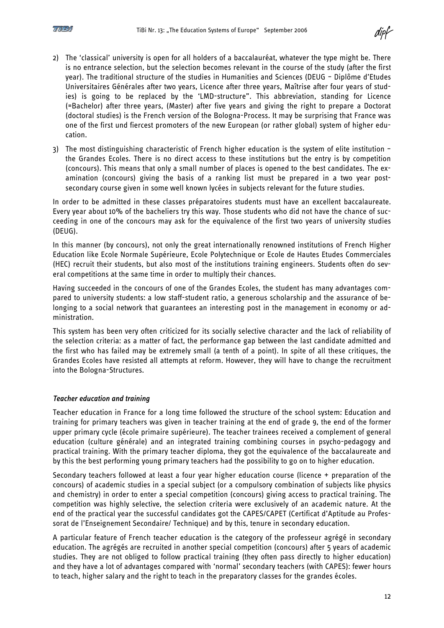

- 2) The 'classical' university is open for all holders of a baccalauréat, whatever the type might be. There is no entrance selection, but the selection becomes relevant in the course of the study (after the first year). The traditional structure of the studies in Humanities and Sciences (DEUG – Diplôme d'Etudes Universitaires Générales after two years, Licence after three years, Maîtrise after four years of studies) is going to be replaced by the 'LMD-structure". This abbreviation, standing for Licence (=Bachelor) after three years, (Master) after five years and giving the right to prepare a Doctorat (doctoral studies) is the French version of the Bologna-Process. It may be surprising that France was one of the first und fiercest promoters of the new European (or rather global) system of higher education.
- 3) The most distinguishing characteristic of French higher education is the system of elite institution the Grandes Ecoles. There is no direct access to these institutions but the entry is by competition (concours). This means that only a small number of places is opened to the best candidates. The examination (concours) giving the basis of a ranking list must be prepared in a two year postsecondary course given in some well known lycées in subjects relevant for the future studies.

In order to be admitted in these classes préparatoires students must have an excellent baccalaureate. Every year about 10% of the bacheliers try this way. Those students who did not have the chance of succeeding in one of the concours may ask for the equivalence of the first two years of university studies (DEUG).

In this manner (by concours), not only the great internationally renowned institutions of French Higher Education like Ecole Normale Supérieure, Ecole Polytechnique or Ecole de Hautes Etudes Commerciales (HEC) recruit their students, but also most of the institutions training engineers. Students often do several competitions at the same time in order to multiply their chances.

Having succeeded in the concours of one of the Grandes Ecoles, the student has many advantages compared to university students: a low staff-student ratio, a generous scholarship and the assurance of belonging to a social network that guarantees an interesting post in the management in economy or administration.

This system has been very often criticized for its socially selective character and the lack of reliability of the selection criteria: as a matter of fact, the performance gap between the last candidate admitted and the first who has failed may be extremely small (a tenth of a point). In spite of all these critiques, the Grandes Ecoles have resisted all attempts at reform. However, they will have to change the recruitment into the Bologna-Structures.

#### *Teacher education and training*

Teacher education in France for a long time followed the structure of the school system: Education and training for primary teachers was given in teacher training at the end of grade 9, the end of the former upper primary cycle (école primaire supérieure). The teacher trainees received a complement of general education (culture générale) and an integrated training combining courses in psycho-pedagogy and practical training. With the primary teacher diploma, they got the equivalence of the baccalaureate and by this the best performing young primary teachers had the possibility to go on to higher education.

Secondary teachers followed at least a four year higher education course (licence + preparation of the concours) of academic studies in a special subject (or a compulsory combination of subjects like physics and chemistry) in order to enter a special competition (concours) giving access to practical training. The competition was highly selective, the selection criteria were exclusively of an academic nature. At the end of the practical year the successful candidates got the CAPES/CAPET (Certificat d'Aptitude au Professorat de l'Enseignement Secondaire/ Technique) and by this, tenure in secondary education.

A particular feature of French teacher education is the category of the professeur agrégé in secondary education. The agrégés are recruited in another special competition (concours) after 5 years of academic studies. They are not obliged to follow practical training (they often pass directly to higher education) and they have a lot of advantages compared with 'normal' secondary teachers (with CAPES): fewer hours to teach, higher salary and the right to teach in the preparatory classes for the grandes écoles.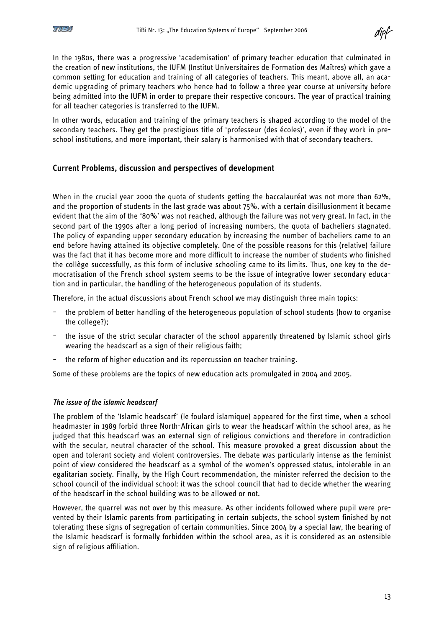

In the 1980s, there was a progressive 'academisation' of primary teacher education that culminated in the creation of new institutions, the IUFM (Institut Universitaires de Formation des Maîtres) which gave a common setting for education and training of all categories of teachers. This meant, above all, an academic upgrading of primary teachers who hence had to follow a three year course at university before being admitted into the IUFM in order to prepare their respective concours. The year of practical training for all teacher categories is transferred to the IUFM.

In other words, education and training of the primary teachers is shaped according to the model of the secondary teachers. They get the prestigious title of 'professeur (des écoles)', even if they work in preschool institutions, and more important, their salary is harmonised with that of secondary teachers.

## **Current Problems, discussion and perspectives of development**

When in the crucial year 2000 the quota of students getting the baccalauréat was not more than 62%, and the proportion of students in the last grade was about 75%, with a certain disillusionment it became evident that the aim of the '80%' was not reached, although the failure was not very great. In fact, in the second part of the 1990s after a long period of increasing numbers, the quota of bacheliers stagnated. The policy of expanding upper secondary education by increasing the number of bacheliers came to an end before having attained its objective completely. One of the possible reasons for this (relative) failure was the fact that it has become more and more difficult to increase the number of students who finished the collège successfully, as this form of inclusive schooling came to its limits. Thus, one key to the democratisation of the French school system seems to be the issue of integrative lower secondary education and in particular, the handling of the heterogeneous population of its students.

Therefore, in the actual discussions about French school we may distinguish three main topics:

- the problem of better handling of the heterogeneous population of school students (how to organise the college?);
- the issue of the strict secular character of the school apparently threatened by Islamic school girls wearing the headscarf as a sign of their religious faith;
- the reform of higher education and its repercussion on teacher training.

Some of these problems are the topics of new education acts promulgated in 2004 and 2005.

#### *The issue of the islamic headscarf*

The problem of the 'Islamic headscarf' (le foulard islamique) appeared for the first time, when a school headmaster in 1989 forbid three North-African girls to wear the headscarf within the school area, as he judged that this headscarf was an external sign of religious convictions and therefore in contradiction with the secular, neutral character of the school. This measure provoked a great discussion about the open and tolerant society and violent controversies. The debate was particularly intense as the feminist point of view considered the headscarf as a symbol of the women's oppressed status, intolerable in an egalitarian society. Finally, by the High Court recommendation, the minister referred the decision to the school council of the individual school: it was the school council that had to decide whether the wearing of the headscarf in the school building was to be allowed or not.

However, the quarrel was not over by this measure. As other incidents followed where pupil were prevented by their Islamic parents from participating in certain subjects, the school system finished by not tolerating these signs of segregation of certain communities. Since 2004 by a special law, the bearing of the Islamic headscarf is formally forbidden within the school area, as it is considered as an ostensible sign of religious affiliation.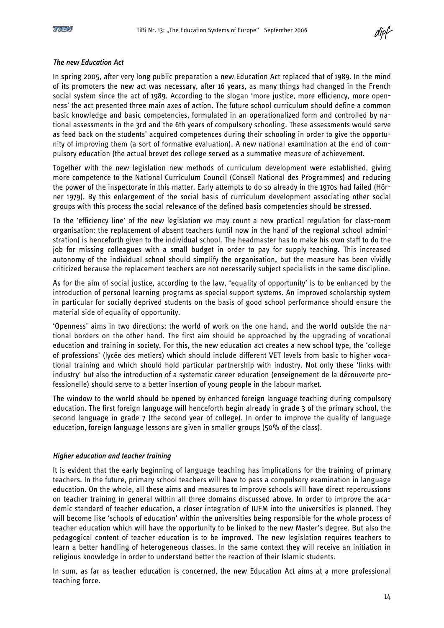

#### *The new Education Act*

In spring 2005, after very long public preparation a new Education Act replaced that of 1989. In the mind of its promoters the new act was necessary, after 16 years, as many things had changed in the French social system since the act of 1989. According to the slogan 'more justice, more efficiency, more openness' the act presented three main axes of action. The future school curriculum should define a common basic knowledge and basic competencies, formulated in an operationalized form and controlled by national assessments in the 3rd and the 6th years of compulsory schooling. These assessments would serve as feed back on the students' acquired competences during their schooling in order to give the opportunity of improving them (a sort of formative evaluation). A new national examination at the end of compulsory education (the actual brevet des college served as a summative measure of achievement.

Together with the new legislation new methods of curriculum development were established, giving more competence to the National Curriculum Council (Conseil National des Programmes) and reducing the power of the inspectorate in this matter. Early attempts to do so already in the 1970s had failed (Hörner 1979). By this enlargement of the social basis of curriculum development associating other social groups with this process the social relevance of the defined basis competencies should be stressed.

To the 'efficiency line' of the new legislation we may count a new practical regulation for class-room organisation: the replacement of absent teachers (until now in the hand of the regional school administration) is henceforth given to the individual school. The headmaster has to make his own staff to do the job for missing colleagues with a small budget in order to pay for supply teaching. This increased autonomy of the individual school should simplify the organisation, but the measure has been vividly criticized because the replacement teachers are not necessarily subject specialists in the same discipline.

As for the aim of social justice, according to the law, 'equality of opportunity' is to be enhanced by the introduction of personal learning programs as special support systems. An improved scholarship system in particular for socially deprived students on the basis of good school performance should ensure the material side of equality of opportunity.

'Openness' aims in two directions: the world of work on the one hand, and the world outside the national borders on the other hand. The first aim should be approached by the upgrading of vocational education and training in society. For this, the new education act creates a new school type, the 'college of professions' (lycée des metiers) which should include different VET levels from basic to higher vocational training and which should hold particular partnership with industry. Not only these 'links with industry' but also the introduction of a systematic career education (enseignement de la découverte professionelle) should serve to a better insertion of young people in the labour market.

The window to the world should be opened by enhanced foreign language teaching during compulsory education. The first foreign language will henceforth begin already in grade 3 of the primary school, the second language in grade 7 (the second year of college). In order to improve the quality of language education, foreign language lessons are given in smaller groups (50% of the class).

#### *Higher education and teacher training*

It is evident that the early beginning of language teaching has implications for the training of primary teachers. In the future, primary school teachers will have to pass a compulsory examination in language education. On the whole, all these aims and measures to improve schools will have direct repercussions on teacher training in general within all three domains discussed above. In order to improve the academic standard of teacher education, a closer integration of IUFM into the universities is planned. They will become like 'schools of education' within the universities being responsible for the whole process of teacher education which will have the opportunity to be linked to the new Master's degree. But also the pedagogical content of teacher education is to be improved. The new legislation requires teachers to learn a better handling of heterogeneous classes. In the same context they will receive an initiation in religious knowledge in order to understand better the reaction of their Islamic students.

In sum, as far as teacher education is concerned, the new Education Act aims at a more professional teaching force.